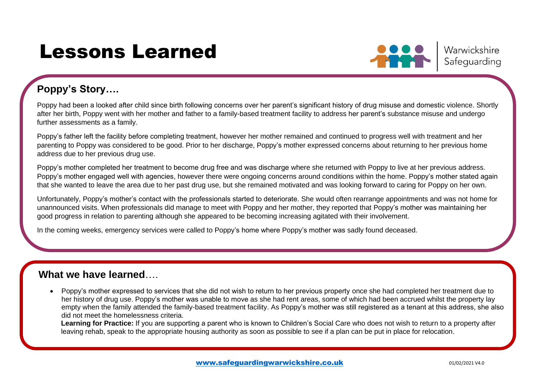# Lessons Learned



## **Poppy's Story….**

Poppy had been a looked after child since birth following concerns over her parent's significant history of drug misuse and domestic violence. Shortly after her birth, Poppy went with her mother and father to a family-based treatment facility to address her parent's substance misuse and undergo further assessments as a family.

Poppy's father left the facility before completing treatment, however her mother remained and continued to progress well with treatment and her parenting to Poppy was considered to be good. Prior to her discharge, Poppy's mother expressed concerns about returning to her previous home address due to her previous drug use.

Poppy's mother completed her treatment to become drug free and was discharge where she returned with Poppy to live at her previous address. Poppy's mother engaged well with agencies, however there were ongoing concerns around conditions within the home. Poppy's mother stated again that she wanted to leave the area due to her past drug use, but she remained motivated and was looking forward to caring for Poppy on her own.

Unfortunately, Poppy's mother's contact with the professionals started to deteriorate. She would often rearrange appointments and was not home for unannounced visits. When professionals did manage to meet with Poppy and her mother, they reported that Poppy's mother was maintaining her good progress in relation to parenting although she appeared to be becoming increasing agitated with their involvement.

In the coming weeks, emergency services were called to Poppy's home where Poppy's mother was sadly found deceased.

### **What we have learned**….

• Poppy's mother expressed to services that she did not wish to return to her previous property once she had completed her treatment due to her history of drug use. Poppy's mother was unable to move as she had rent areas, some of which had been accrued whilst the property lay empty when the family attended the family-based treatment facility. As Poppy's mother was still registered as a tenant at this address, she also did not meet the homelessness criteria.

**Learning for Practice:** If you are supporting a parent who is known to Children's Social Care who does not wish to return to a property after leaving rehab, speak to the appropriate housing authority as soon as possible to see if a plan can be put in place for relocation.